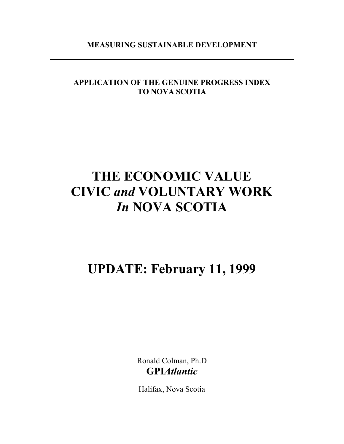#### **MEASURING SUSTAINABLE DEVELOPMENT**

### **APPLICATION OF THE GENUINE PROGRESS INDEX TO NOVA SCOTIA**

# **THE ECONOMIC VALUE CIVIC** *and* **VOLUNTARY WORK**  *In* **NOVA SCOTIA**

## **UPDATE: February 11, 1999**

Ronald Colman, Ph.D **GPI***Atlantic* 

Halifax, Nova Scotia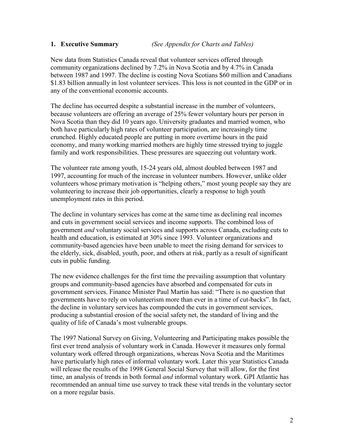#### **1. Executive Summary** *(See Appendix for Charts and Tables)*

New data from Statistics Canada reveal that volunteer services offered through community organizations declined by 7.2% in Nova Scotia and by 4.7% in Canada between 1987 and 1997. The decline is costing Nova Scotians \$60 million and Canadians \$1.83 billion annually in lost volunteer services. This loss is not counted in the GDP or in any of the conventional economic accounts.

The decline has occurred despite a substantial increase in the number of volunteers, because volunteers are offering an average of 25% fewer voluntary hours per person in Nova Scotia than they did 10 years ago. University graduates and married women, who both have particularly high rates of volunteer participation, are increasingly time crunched. Highly educated people are putting in more overtime hours in the paid economy, and many working married mothers are highly time stressed trying to juggle family and work responsibilities. These pressures are squeezing out voluntary work.

The volunteer rate among youth, 15-24 years old, almost doubled between 1987 and 1997, accounting for much of the increase in volunteer numbers. However, unlike older volunteers whose primary motivation is "helping others," most young people say they are volunteering to increase their job opportunities, clearly a response to high youth unemployment rates in this period.

The decline in voluntary services has come at the same time as declining real incomes and cuts in government social services and income supports. The combined loss of government *and* voluntary social services and supports across Canada, excluding cuts to health and education, is estimated at 30% since 1993. Volunteer organizations and community-based agencies have been unable to meet the rising demand for services to the elderly, sick, disabled, youth, poor, and others at risk, partly as a result of significant cuts in public funding.

The new evidence challenges for the first time the prevailing assumption that voluntary groups and community-based agencies have absorbed and compensated for cuts in government services. Finance Minister Paul Martin has said: "There is no question that governments have to rely on volunteerism more than ever in a time of cut-backs". In fact, the decline in voluntary services has compounded the cuts in government services, producing a substantial erosion of the social safety net, the standard of living and the quality of life of Canada's most vulnerable groups.

The 1997 National Survey on Giving, Volunteering and Participating makes possible the first ever trend analysis of voluntary work in Canada. However it measures only formal voluntary work offered through organizations, whereas Nova Scotia and the Maritimes have particularly high rates of informal voluntary work. Later this year Statistics Canada will release the results of the 1998 General Social Survey that will allow, for the first time, an analysis of trends in both formal *and* informal voluntary work. GPI Atlantic has recommended an annual time use survey to track these vital trends in the voluntary sector on a more regular basis.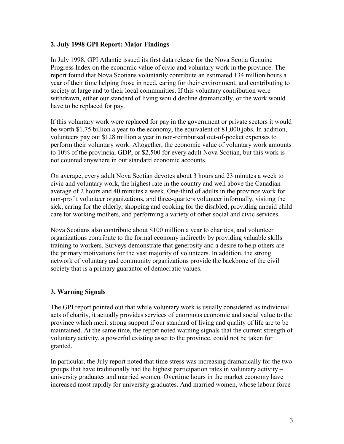#### **2. July 1998 GPI Report: Major Findings**

In July 1998, GPI Atlantic issued its first data release for the Nova Scotia Genuine Progress Index on the economic value of civic and voluntary work in the province. The report found that Nova Scotians voluntarily contribute an estimated 134 million hours a year of their time helping those in need, caring for their environment, and contributing to society at large and to their local communities. If this voluntary contribution were withdrawn, either our standard of living would decline dramatically, or the work would have to be replaced for pay.

If this voluntary work were replaced for pay in the government or private sectors it would be worth \$1.75 billion a year to the economy, the equivalent of 81,000 jobs. In addition, volunteers pay out \$128 million a year in non-reimbursed out-of-pocket expenses to perform their voluntary work. Altogether, the economic value of voluntary work amounts to 10% of the provincial GDP, or \$2,500 for every adult Nova Scotian, but this work is not counted anywhere in our standard economic accounts.

On average, every adult Nova Scotian devotes about 3 hours and 23 minutes a week to civic and voluntary work, the highest rate in the country and well above the Canadian average of 2 hours and 40 minutes a week. One-third of adults in the province work for non-profit volunteer organizations, and three-quarters volunteer informally, visiting the sick, caring for the elderly, shopping and cooking for the disabled, providing unpaid child care for working mothers, and performing a variety of other social and civic services.

Nova Scotians also contribute about \$100 million a year to charities, and volunteer organizations contribute to the formal economy indirectly by providing valuable skills training to workers. Surveys demonstrate that generosity and a desire to help others are the primary motivations for the vast majority of volunteers. In addition, the strong network of voluntary and community organizations provide the backbone of the civil society that is a primary guarantor of democratic values.

#### **3. Warning Signals**

The GPI report pointed out that while voluntary work is usually considered as individual acts of charity, it actually provides services of enormous economic and social value to the province which merit strong support if our standard of living and quality of life are to be maintained. At the same time, the report noted warning signals that the current strength of voluntary activity, a powerful existing asset to the province, could not be taken for granted.

In particular, the July report noted that time stress was increasing dramatically for the two groups that have traditionally had the highest participation rates in voluntary activity – university graduates and married women. Overtime hours in the market economy have increased most rapidly for university graduates. And married women, whose labour force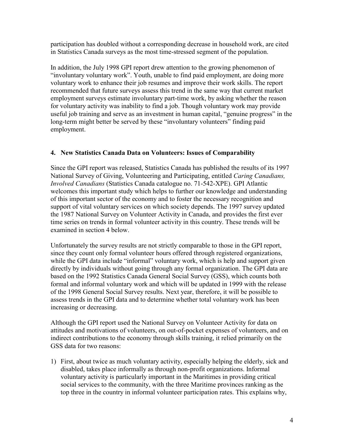participation has doubled without a corresponding decrease in household work, are cited in Statistics Canada surveys as the most time-stressed segment of the population.

In addition, the July 1998 GPI report drew attention to the growing phenomenon of "involuntary voluntary work". Youth, unable to find paid employment, are doing more voluntary work to enhance their job resumes and improve their work skills. The report recommended that future surveys assess this trend in the same way that current market employment surveys estimate involuntary part-time work, by asking whether the reason for voluntary activity was inability to find a job. Though voluntary work may provide useful job training and serve as an investment in human capital, "genuine progress" in the long-term might better be served by these "involuntary volunteers" finding paid employment.

#### **4. New Statistics Canada Data on Volunteers: Issues of Comparability**

Since the GPI report was released, Statistics Canada has published the results of its 1997 National Survey of Giving, Volunteering and Participating, entitled *Caring Canadians, Involved Canadians* (Statistics Canada catalogue no. 71-542-XPE). GPI Atlantic welcomes this important study which helps to further our knowledge and understanding of this important sector of the economy and to foster the necessary recognition and support of vital voluntary services on which society depends. The 1997 survey updated the 1987 National Survey on Volunteer Activity in Canada, and provides the first ever time series on trends in formal volunteer activity in this country. These trends will be examined in section 4 below.

Unfortunately the survey results are not strictly comparable to those in the GPI report, since they count only formal volunteer hours offered through registered organizations, while the GPI data include "informal" voluntary work, which is help and support given directly by individuals without going through any formal organization. The GPI data are based on the 1992 Statistics Canada General Social Survey (GSS), which counts both formal and informal voluntary work and which will be updated in 1999 with the release of the 1998 General Social Survey results. Next year, therefore, it will be possible to assess trends in the GPI data and to determine whether total voluntary work has been increasing or decreasing.

Although the GPI report used the National Survey on Volunteer Activity for data on attitudes and motivations of volunteers, on out-of-pocket expenses of volunteers, and on indirect contributions to the economy through skills training, it relied primarily on the GSS data for two reasons:

1) First, about twice as much voluntary activity, especially helping the elderly, sick and disabled, takes place informally as through non-profit organizations. Informal voluntary activity is particularly important in the Maritimes in providing critical social services to the community, with the three Maritime provinces ranking as the top three in the country in informal volunteer participation rates. This explains why,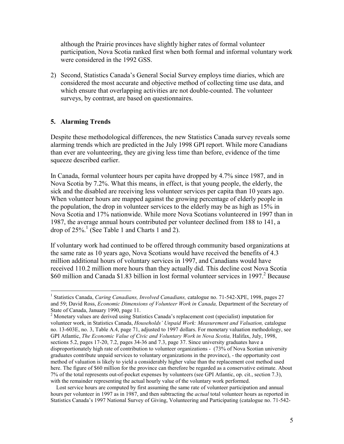although the Prairie provinces have slightly higher rates of formal volunteer participation, Nova Scotia ranked first when both formal and informal voluntary work were considered in the 1992 GSS.

2) Second, Statistics Canada's General Social Survey employs time diaries, which are considered the most accurate and objective method of collecting time use data, and which ensure that overlapping activities are not double-counted. The volunteer surveys, by contrast, are based on questionnaires.

#### **5. Alarming Trends**

 $\overline{a}$ 

Despite these methodological differences, the new Statistics Canada survey reveals some alarming trends which are predicted in the July 1998 GPI report. While more Canadians than ever are volunteering, they are giving less time than before, evidence of the time squeeze described earlier.

In Canada, formal volunteer hours per capita have dropped by 4.7% since 1987, and in Nova Scotia by 7.2%. What this means, in effect, is that young people, the elderly, the sick and the disabled are receiving less volunteer services per capita than 10 years ago. When volunteer hours are mapped against the growing percentage of elderly people in the population, the drop in volunteer services to the elderly may be as high as 15% in Nova Scotia and 17% nationwide. While more Nova Scotians volunteered in 1997 than in 1987, the average annual hours contributed per volunteer declined from 188 to 141, a drop of  $25\%$ .<sup>1</sup> (See Table 1 and Charts 1 and 2).

If voluntary work had continued to be offered through community based organizations at the same rate as 10 years ago, Nova Scotians would have received the benefits of 4.3 million additional hours of voluntary services in 1997, and Canadians would have received 110.2 million more hours than they actually did. This decline cost Nova Scotia \$60 million and Canada \$1.83 billion in lost formal volunteer services in 1997.<sup>2</sup> Because

 Lost service hours are computed by first assuming the same rate of volunteer participation and annual hours per volunteer in 1997 as in 1987, and then subtracting the *actual* total volunteer hours as reported in Statistics Canada's 1997 National Survey of Giving, Volunteering and Participating (catalogue no. 71-542-

<sup>&</sup>lt;sup>1</sup> Statistics Canada, *Caring Canadians, Involved Canadians,* catalogue no. 71-542-XPE, 1998, pages 27 and 59; David Ross, *Economic Dimensions of Volunteer Work in Canada,* Department of the Secretary of State of Canada, January 1990, page 11.

<sup>&</sup>lt;sup>2</sup> Monetary values are derived using Statistics Canada's replacement cost (specialist) imputation for volunteer work, in Statistics Canada, *Households' Unpaid Work: Measurement and Valuation,* catalogue no. 13-603E, no. 3, Table A.4, page 71, adjusted to 1997 dollars. For monetary valuation methodology, see GPI Atlantic, *The Economic Value of Civic and Voluntary Work in Nova Scotia*, Halifax, July, 1998, sections 5.2, pages 17-20, 7.2, pages 34-36 and 7.3, page 37. Since university graduates have a disproportionately high rate of contribution to volunteer organizations - (73% of Nova Scotian university graduates contribute unpaid services to voluntary organizations in the province), - the opportunity cost method of valuation is likely to yield a considerably higher value than the replacement cost method used here. The figure of \$60 million for the province can therefore be regarded as a conservative estimate. About 7% of the total represents out-of-pocket expenses by volunteers (see GPI Atlantic, op. cit., section 7.3), with the remainder representing the actual hourly value of the voluntary work performed.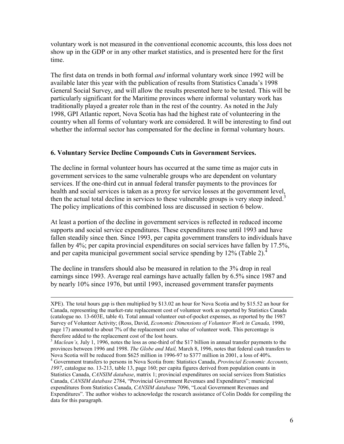voluntary work is not measured in the conventional economic accounts, this loss does not show up in the GDP or in any other market statistics, and is presented here for the first time.

The first data on trends in both formal *and* informal voluntary work since 1992 will be available later this year with the publication of results from Statistics Canada's 1998 General Social Survey, and will allow the results presented here to be tested. This will be particularly significant for the Maritime provinces where informal voluntary work has traditionally played a greater role than in the rest of the country. As noted in the July 1998, GPI Atlantic report, Nova Scotia has had the highest rate of volunteering in the country when all forms of voluntary work are considered. It will be interesting to find out whether the informal sector has compensated for the decline in formal voluntary hours.

#### **6. Voluntary Service Decline Compounds Cuts in Government Services.**

The decline in formal volunteer hours has occurred at the same time as major cuts in government services to the same vulnerable groups who are dependent on voluntary services. If the one-third cut in annual federal transfer payments to the provinces for health and social services is taken as a proxy for service losses at the government level, then the actual total decline in services to these vulnerable groups is very steep indeed.<sup>3</sup> The policy implications of this combined loss are discussed in section 6 below.

At least a portion of the decline in government services is reflected in reduced income supports and social service expenditures. These expenditures rose until 1993 and have fallen steadily since then. Since 1993, per capita government transfers to individuals have fallen by 4%; per capita provincial expenditures on social services have fallen by 17.5%, and per capita municipal government social service spending by  $12\%$  (Table 2).<sup>4</sup>

The decline in transfers should also be measured in relation to the 3% drop in real earnings since 1993. Average real earnings have actually fallen by 6.5% since 1987 and by nearly 10% since 1976, but until 1993, increased government transfer payments

XPE). The total hours gap is then multiplied by \$13.02 an hour for Nova Scotia and by \$15.52 an hour for Canada, representing the market-rate replacement cost of volunteer work as reported by Statistics Canada (catalogue no. 13-603E, table 4). Total annual volunteer out-of-pocket expenses, as reported by the 1987 Survey of Volunteer Activity; (Ross, David, *Economic Dimensions of Volunteer Work in Canada,* 1990, page 17) amounted to about 7% of the replacement cost value of volunteer work. This percentage is therefore added to the replacement cost of the lost hours.

<sup>&</sup>lt;sup>3</sup> *Maclean's*, July 1, 1996, notes the loss as one-third of the \$17 billion in annual transfer payments to the provinces between 1996 and 1998. *The Globe and Mail,* March 8, 1996, notes that federal cash transfers to Nova Scotia will be reduced from \$625 million in 1996-97 to \$377 million in 2001, a loss of 40%.

<sup>4</sup> Government transfers to persons in Nova Scotia from: Statistics Canada, *Provincial Economic Accounts, 1997*, catalogue no. 13-213, table 13, page 160; per capita figures derived from population counts in Statistics Canada, *CANSIM database*, matrix 1; provincial expenditures on social services from Statistics Canada, *CANSIM database* 2784, "Provincial Government Revenues and Expenditures"; municipal expenditures from Statistics Canada, *CANSIM database* 7096, "Local Government Revenues and Expenditures". The author wishes to acknowledge the research assistance of Colin Dodds for compiling the data for this paragraph.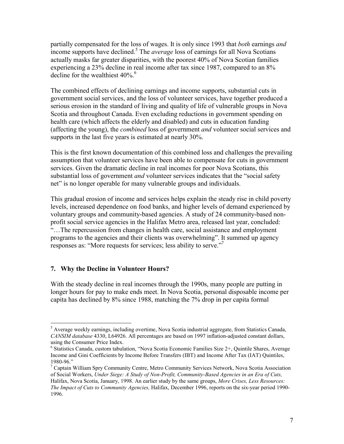partially compensated for the loss of wages. It is only since 1993 that *both* earnings *and*  income supports have declined.<sup>5</sup> The *average* loss of earnings for all Nova Scotians actually masks far greater disparities, with the poorest 40% of Nova Scotian families experiencing a 23% decline in real income after tax since 1987, compared to an 8% decline for the wealthiest  $40\%$ .<sup>6</sup>

The combined effects of declining earnings and income supports, substantial cuts in government social services, and the loss of volunteer services, have together produced a serious erosion in the standard of living and quality of life of vulnerable groups in Nova Scotia and throughout Canada. Even excluding reductions in government spending on health care (which affects the elderly and disabled) and cuts in education funding (affecting the young), the *combined* loss of government *and* volunteer social services and supports in the last five years is estimated at nearly 30%.

This is the first known documentation of this combined loss and challenges the prevailing assumption that volunteer services have been able to compensate for cuts in government services. Given the dramatic decline in real incomes for poor Nova Scotians, this substantial loss of government *and* volunteer services indicates that the "social safety net" is no longer operable for many vulnerable groups and individuals.

This gradual erosion of income and services helps explain the steady rise in child poverty levels, increased dependence on food banks, and higher levels of demand experienced by voluntary groups and community-based agencies. A study of 24 community-based nonprofit social service agencies in the Halifax Metro area, released last year, concluded: "…The repercussion from changes in health care, social assistance and employment programs to the agencies and their clients was overwhelming". It summed up agency responses as: "More requests for services; less ability to serve."

#### **7. Why the Decline in Volunteer Hours?**

 $\overline{a}$ 

With the steady decline in real incomes through the 1990s, many people are putting in longer hours for pay to make ends meet. In Nova Scotia, personal disposable income per capita has declined by 8% since 1988, matching the 7% drop in per capita formal

<sup>&</sup>lt;sup>5</sup> Average weekly earnings, including overtime, Nova Scotia industrial aggregate, from Statistics Canada, *CANSIM database* 4330, L64926. All percentages are based on 1997 inflation-adjusted constant dollars, using the Consumer Price Index.

<sup>&</sup>lt;sup>6</sup> Statistics Canada, custom tabulation, "Nova Scotia Economic Families Size 2+, Quintile Shares, Average Income and Gini Coefficients by Income Before Transfers (IBT) and Income After Tax (IAT) Quintiles, 1980-96."

<sup>&</sup>lt;sup>7</sup> Captain William Spry Community Centre, Metro Community Services Network, Nova Scotia Association of Social Workers, *Under Siege: A Study of Non-Profit, Community-Based Agencies in an Era of Cuts,*  Halifax, Nova Scotia, January, 1998. An earlier study by the same groups, *More Crises, Less Resources: The Impact of Cuts to Community Agencies,* Halifax, December 1996, reports on the six-year period 1990- 1996.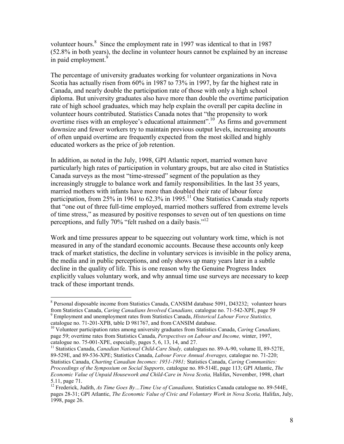volunteer hours.<sup>8</sup> Since the employment rate in 1997 was identical to that in 1987 (52.8% in both years), the decline in volunteer hours cannot be explained by an increase in paid employment.<sup>9</sup>

The percentage of university graduates working for volunteer organizations in Nova Scotia has actually risen from 60% in 1987 to 73% in 1997, by far the highest rate in Canada, and nearly double the participation rate of those with only a high school diploma. But university graduates also have more than double the overtime participation rate of high school graduates, which may help explain the overall per capita decline in volunteer hours contributed. Statistics Canada notes that "the propensity to work overtime rises with an employee's educational attainment".<sup>10</sup> As firms and government downsize and fewer workers try to maintain previous output levels, increasing amounts of often unpaid overtime are frequently expected from the most skilled and highly educated workers as the price of job retention.

In addition, as noted in the July, 1998, GPI Atlantic report, married women have particularly high rates of participation in voluntary groups, but are also cited in Statistics Canada surveys as the most "time-stressed" segment of the population as they increasingly struggle to balance work and family responsibilities. In the last 35 years, married mothers with infants have more than doubled their rate of labour force participation, from 25% in 1961 to 62.3% in 1995.<sup>11</sup> One Statistics Canada study reports that "one out of three full-time employed, married mothers suffered from extreme levels of time stress," as measured by positive responses to seven out of ten questions on time perceptions, and fully 70% "felt rushed on a daily basis."<sup>12</sup>

Work and time pressures appear to be squeezing out voluntary work time, which is not measured in any of the standard economic accounts. Because these accounts only keep track of market statistics, the decline in voluntary services is invisible in the policy arena, the media and in public perceptions, and only shows up many years later in a subtle decline in the quality of life. This is one reason why the Genuine Progress Index explicitly values voluntary work, and why annual time use surveys are necessary to keep track of these important trends.

 $\overline{a}$ 

<sup>11</sup> Statistics Canada, *Canadian National Child-Care Study*, catalogues no. 89-A-90, volume II, 89-527E, 89-529E, and 89-536-XPE; Statistics Canada, *Labour Force Annual Averages,* catalogue no. 71-220; Statistics Canada, *Charting Canadian Incomes: 1951-1981;* Statistics Canada, *Caring Communities: Proceedings of the Symposium on Social Supports,* catalogue no. 89-514E, page 113; GPI Atlantic, *The Economic Value of Unpaid Housework and Child-Care in Nova Scotia,* Halifax, November, 1998, chart 5.11, page 71.

<sup>&</sup>lt;sup>8</sup> Personal disposable income from Statistics Canada, CANSIM database 5091, D43232; volunteer hours from Statistics Canada, *Caring Canadians Involved Canadians,* catalogue no. 71-542-XPE, page 59 9 Employment and unemployment rates from Statistics Canada, *Historical Labour Force Statistics,* 

catalogue no. 71-201-XPB, table D 981767, and from CANSIM database.

<sup>10</sup> Volunteer participation rates among university graduates from Statistics Canada, *Caring Canadians,*  page 59; overtime rates from Statistics Canada, *Perspectives on Labour and Income,* winter, 1997, catalogue no. 75-001-XPE, especially, pages 5, 6, 13, 14, and 27.

<sup>12</sup> Frederick, Judith, *As Time Goes By…Time Use of Canadians,* Statistics Canada catalogue no. 89-544E, pages 28-31; GPI Atlantic, *The Economic Value of Civic and Voluntary Work in Nova Scotia*, Halifax, July, 1998, page 26.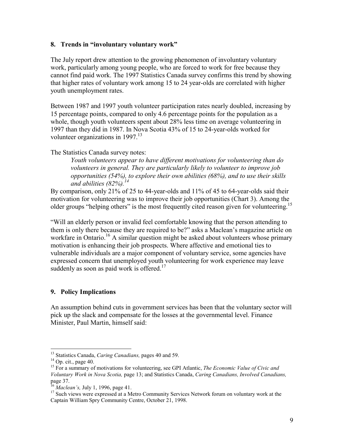#### **8. Trends in "involuntary voluntary work"**

The July report drew attention to the growing phenomenon of involuntary voluntary work, particularly among young people, who are forced to work for free because they cannot find paid work. The 1997 Statistics Canada survey confirms this trend by showing that higher rates of voluntary work among 15 to 24 year-olds are correlated with higher youth unemployment rates.

Between 1987 and 1997 youth volunteer participation rates nearly doubled, increasing by 15 percentage points, compared to only 4.6 percentage points for the population as a whole, though youth volunteers spent about 28% less time on average volunteering in 1997 than they did in 1987. In Nova Scotia 43% of 15 to 24-year-olds worked for volunteer organizations in 1997.<sup>13</sup>

The Statistics Canada survey notes:

*Youth volunteers appear to have different motivations for volunteering than do volunteers in general. They are particularly likely to volunteer to improve job opportunities (54%), to explore their own abilities (68%), and to use their skills and abilities (82%).14*

By comparison, only 21% of 25 to 44-year-olds and 11% of 45 to 64-year-olds said their motivation for volunteering was to improve their job opportunities (Chart 3). Among the older groups "helping others" is the most frequently cited reason given for volunteering.<sup>15</sup>

"Will an elderly person or invalid feel comfortable knowing that the person attending to them is only there because they are required to be?" asks a Maclean's magazine article on workfare in Ontario.<sup>16</sup> A similar question might be asked about volunteers whose primary motivation is enhancing their job prospects. Where affective and emotional ties to vulnerable individuals are a major component of voluntary service, some agencies have expressed concern that unemployed youth volunteering for work experience may leave suddenly as soon as paid work is offered.<sup>17</sup>

#### **9. Policy Implications**

An assumption behind cuts in government services has been that the voluntary sector will pick up the slack and compensate for the losses at the governmental level. Finance Minister, Paul Martin, himself said:

 $\overline{a}$ 

<sup>&</sup>lt;sup>13</sup> Statistics Canada, *Caring Canadians*, pages 40 and 59.<br><sup>14</sup> Op. cit., page 40.

<sup>&</sup>lt;sup>14</sup> Op. cit., page 40.<br><sup>15</sup> For a summary of motivations for volunteering, see GPI Atlantic, *The Economic Value of Civic and Voluntary Work in Nova Scotia,* page 13; and Statistics Canada, *Caring Canadians, Involved Canadians,*  page 37.<br><sup>16</sup> Maclean's, July 1, 1996, page 41.

<sup>&</sup>lt;sup>17</sup> Such views were expressed at a Metro Community Services Network forum on voluntary work at the Captain William Spry Community Centre, October 21, 1998.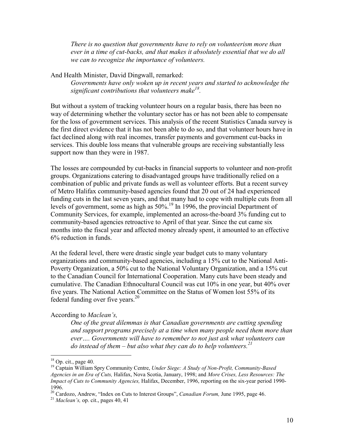*There is no question that governments have to rely on volunteerism more than ever in a time of cut-backs, and that makes it absolutely essential that we do all we can to recognize the importance of volunteers.* 

And Health Minister, David Dingwall, remarked:

*Governments have only woken up in recent years and started to acknowledge the significant contributions that volunteers make*<sup>18</sup>.

But without a system of tracking volunteer hours on a regular basis, there has been no way of determining whether the voluntary sector has or has not been able to compensate for the loss of government services. This analysis of the recent Statistics Canada survey is the first direct evidence that it has not been able to do so, and that volunteer hours have in fact declined along with real incomes, transfer payments and government cut-backs in services. This double loss means that vulnerable groups are receiving substantially less support now than they were in 1987.

The losses are compounded by cut-backs in financial supports to volunteer and non-profit groups. Organizations catering to disadvantaged groups have traditionally relied on a combination of public and private funds as well as volunteer efforts. But a recent survey of Metro Halifax community-based agencies found that 20 out of 24 had experienced funding cuts in the last seven years, and that many had to cope with multiple cuts from all levels of government, some as high as  $50\%$ <sup>19</sup> In 1996, the provincial Department of Community Services, for example, implemented an across-the-board 3% funding cut to community-based agencies retroactive to April of that year. Since the cut came six months into the fiscal year and affected money already spent, it amounted to an effective 6% reduction in funds.

At the federal level, there were drastic single year budget cuts to many voluntary organizations and community-based agencies, including a 15% cut to the National Anti-Poverty Organization, a 50% cut to the National Voluntary Organization, and a 15% cut to the Canadian Council for International Cooperation. Many cuts have been steady and cumulative. The Canadian Ethnocultural Council was cut 10% in one year, but 40% over five years. The National Action Committee on the Status of Women lost 55% of its federal funding over five years.<sup>20</sup>

#### According to *Maclean's,*

*One of the great dilemmas is that Canadian governments are cutting spending and support programs precisely at a time when many people need them more than ever…. Governments will have to remember to not just ask what volunteers can do instead of them – but also what they can do to help volunteers.21*

 $\overline{a}$ 

 $18$  Op. cit., page 40.

<sup>19</sup> Captain William Spry Community Centre, *Under Siege: A Study of Non-Profit, Community-Based Agencies in an Era of Cuts,* Halifax, Nova Scotia, January, 1998; and *More Crises, Less Resources: The Impact of Cuts to Community Agencies,* Halifax, December, 1996, reporting on the six-year period 1990- 1996.

<sup>&</sup>lt;sup>20</sup> Cardozo, Andrew, "Index on Cuts to Interest Groups", *Canadian Forum*, June 1995, page 46. <sup>21</sup> *Maclean's*, op. cit., pages 40, 41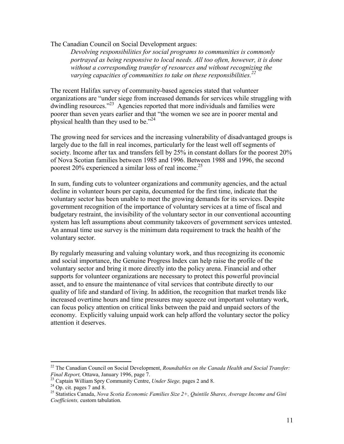The Canadian Council on Social Development argues:

*Devolving responsibilities for social programs to communities is commonly portrayed as being responsive to local needs. All too often, however, it is done without a corresponding transfer of resources and without recognizing the*  varying capacities of communities to take on these responsibilities.<sup>22</sup>

The recent Halifax survey of community-based agencies stated that volunteer organizations are "under siege from increased demands for services while struggling with dwindling resources."<sup>23</sup> Agencies reported that more individuals and families were poorer than seven years earlier and that "the women we see are in poorer mental and physical health than they used to be. $124$ 

The growing need for services and the increasing vulnerability of disadvantaged groups is largely due to the fall in real incomes, particularly for the least well off segments of society. Income after tax and transfers fell by 25% in constant dollars for the poorest 20% of Nova Scotian families between 1985 and 1996. Between 1988 and 1996, the second poorest 20% experienced a similar loss of real income.25

In sum, funding cuts to volunteer organizations and community agencies, and the actual decline in volunteer hours per capita, documented for the first time, indicate that the voluntary sector has been unable to meet the growing demands for its services. Despite government recognition of the importance of voluntary services at a time of fiscal and budgetary restraint, the invisibility of the voluntary sector in our conventional accounting system has left assumptions about community takeovers of government services untested. An annual time use survey is the minimum data requirement to track the health of the voluntary sector.

By regularly measuring and valuing voluntary work, and thus recognizing its economic and social importance, the Genuine Progress Index can help raise the profile of the voluntary sector and bring it more directly into the policy arena. Financial and other supports for volunteer organizations are necessary to protect this powerful provincial asset, and to ensure the maintenance of vital services that contribute directly to our quality of life and standard of living. In addition, the recognition that market trends like increased overtime hours and time pressures may squeeze out important voluntary work, can focus policy attention on critical links between the paid and unpaid sectors of the economy. Explicitly valuing unpaid work can help afford the voluntary sector the policy attention it deserves.

 $\overline{a}$ 

<sup>22</sup> The Canadian Council on Social Development, *Roundtables on the Canada Health and Social Transfer: Final Report, Ottawa, January 1996, page 7.*<br><sup>23</sup> Captain William Spry Community Centre, *Under Siege, pages 2 and 8.* <sup>24</sup> Op. cit. pages 7 and 8.

<sup>25</sup> Statistics Canada, *Nova Scotia Economic Families Size 2+, Quintile Shares, Average Income and Gini Coefficients,* custom tabulation.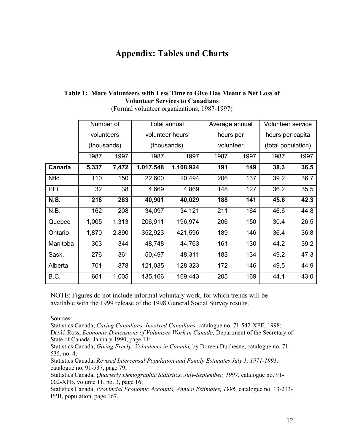## **Appendix: Tables and Charts**

#### **Table 1: More Volunteers with Less Time to Give Has Meant a Net Loss of Volunteer Services to Canadians**

|             | Number of   |       | <b>Total annual</b> |           | Average annual |      | <b>Volunteer service</b> |      |
|-------------|-------------|-------|---------------------|-----------|----------------|------|--------------------------|------|
|             | volunteers  |       | volunteer hours     |           | hours per      |      | hours per capita         |      |
|             | (thousands) |       | (thousands)         |           | volunteer      |      | (total population)       |      |
|             | 1987        | 1997  | 1987                | 1997      | 1987           | 1997 | 1987                     | 1997 |
| Canada      | 5,337       | 7,472 | 1,017,548           | 1,108,924 | 191            | 149  | 38.3                     | 36.5 |
| Nfld.       | 110         | 150   | 22,600              | 20,494    | 206            | 137  | 39.2                     | 36.7 |
| PEI         | 32          | 38    | 4,669               | 4,869     | 148            | 127  | 36.2                     | 35.5 |
| <b>N.S.</b> | 218         | 283   | 40,901              | 40,029    | 188            | 141  | 45.6                     | 42.3 |
| N.B.        | 162         | 208   | 34,097              | 34,121    | 211            | 164  | 46.6                     | 44.8 |
| Quebec      | 1,005       | 1,313 | 206,911             | 196,974   | 206            | 150  | 30.4                     | 26.5 |
| Ontario     | 1,870       | 2,890 | 352,923             | 421,596   | 189            | 146  | 36.4                     | 36.8 |
| Manitoba    | 303         | 344   | 48,748              | 44,763    | 161            | 130  | 44.2                     | 39.2 |
| Sask.       | 276         | 361   | 50,497              | 48,311    | 183            | 134  | 49.2                     | 47.3 |
| Alberta     | 701         | 878   | 121,035             | 128,323   | 172            | 146  | 49.5                     | 44.9 |
| B.C.        | 661         | 1,005 | 135,166             | 169,443   | 205            | 169  | 44.1                     | 43.0 |

(Formal volunteer organizations, 1987-1997)

NOTE: Figures do not include informal voluntary work, for which trends will be available with the 1999 release of the 1998 General Social Survey results.

Sources:

Statistics Canada, *Caring Canadians, Involved Canadians,* catalogue no. 71-542-XPE, 1998; David Ross, *Economic Dimensions of Volunteer Work in Canada*, Department of the Secretary of State of Canada, January 1990, page 11;

Statistics Canada, *Giving Freely: Volunteers in Canada,* by Doreen Duchesne, catalogue no. 71- 535, no. 4;

Statistics Canada, *Revised Intercensal Population and Family Estimates July 1, 1971-1991,*  catalogue no. 91-537, page 79;

Statistics Canada, *Quarterly Demographic Statistics, July-September, 1997,* catalogue no. 91- 002-XPB, volume 11, no. 3, page 16;

Statistics Canada, *Provincial Economic Accounts, Annual Estimates, 1996,* catalogue no. 13-213- PPB, population, page 167.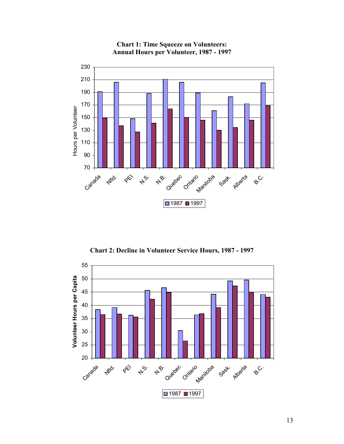

**Chart 1: Time Squeeze on Volunteers: Annual Hours per Volunteer, 1987 - 1997**

**Chart 2: Decline in Volunteer Service Hours, 1987 - 1997**